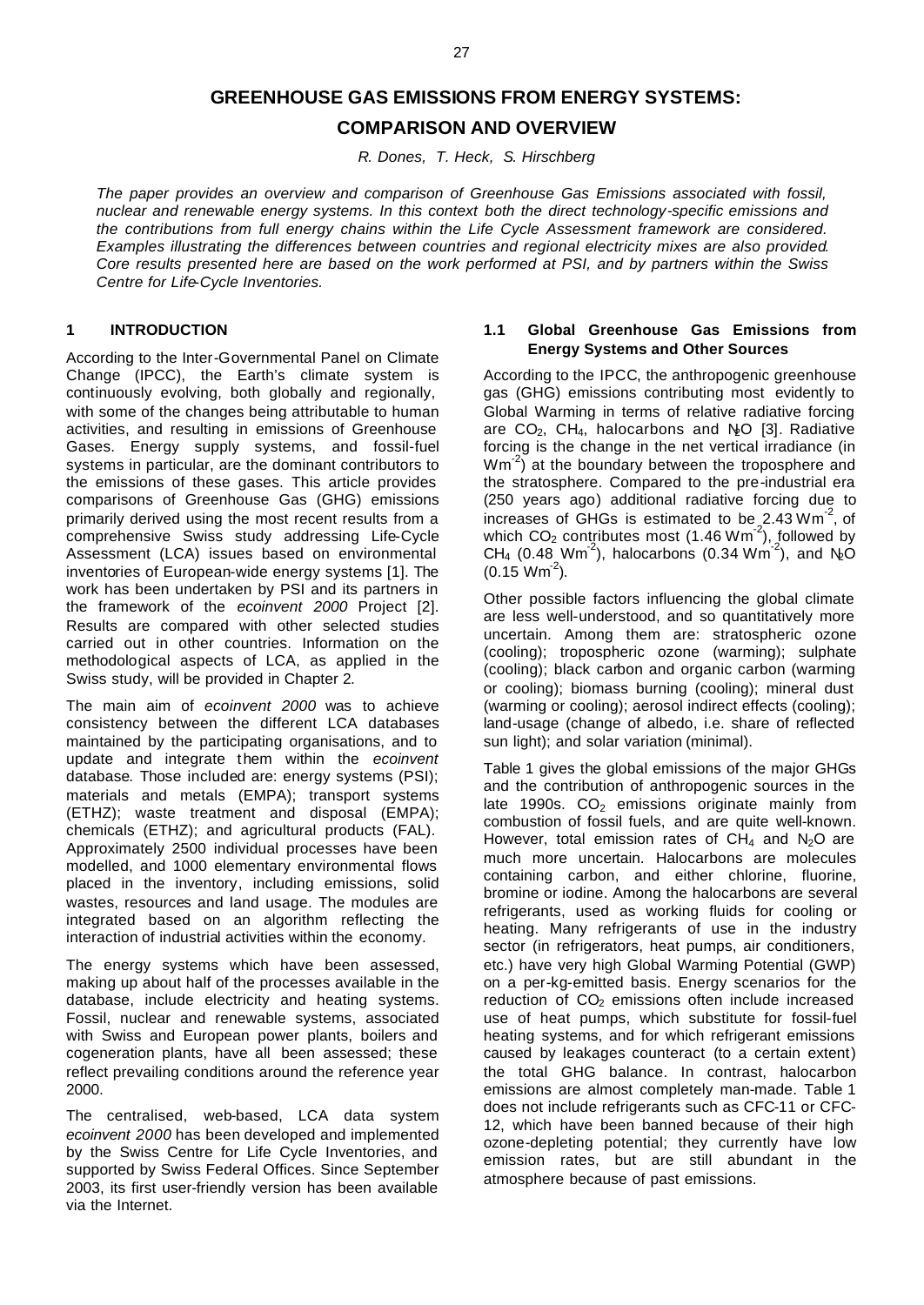# **GREENHOUSE GAS EMISSIONS FROM ENERGY SYSTEMS: COMPARISON AND OVERVIEW**

*R. Dones, T. Heck, S. Hirschberg*

*The paper provides an overview and comparison of Greenhouse Gas Emissions associated with fossil, nuclear and renewable energy systems. In this context both the direct technology-specific emissions and the contributions from full energy chains within the Life Cycle Assessment framework are considered. Examples illustrating the differences between countries and regional electricity mixes are also provided. Core results presented here are based on the work performed at PSI, and by partners within the Swiss Centre for Life-Cycle Inventories.*

# **1 INTRODUCTION**

According to the Inter-Governmental Panel on Climate Change (IPCC), the Earth's climate system is continuously evolving, both globally and regionally, with some of the changes being attributable to human activities, and resulting in emissions of Greenhouse Gases. Energy supply systems, and fossil-fuel systems in particular, are the dominant contributors to the emissions of these gases. This article provides comparisons of Greenhouse Gas (GHG) emissions primarily derived using the most recent results from a comprehensive Swiss study addressing Life-Cycle Assessment (LCA) issues based on environmental inventories of European-wide energy systems [1]. The work has been undertaken by PSI and its partners in the framework of the *ecoinvent 2000* Project [2]. Results are compared with other selected studies carried out in other countries. Information on the methodological aspects of LCA, as applied in the Swiss study, will be provided in Chapter 2.

The main aim of *ecoinvent 2000* was to achieve consistency between the different LCA databases maintained by the participating organisations, and to update and integrate them within the *ecoinvent* database. Those included are: energy systems (PSI); materials and metals (EMPA); transport systems (ETHZ); waste treatment and disposal (EMPA); chemicals (ETHZ); and agricultural products (FAL). Approximately 2500 individual processes have been modelled, and 1000 elementary environmental flows placed in the inventory, including emissions, solid wastes, resources and land usage. The modules are integrated based on an algorithm reflecting the interaction of industrial activities within the economy.

The energy systems which have been assessed, making up about half of the processes available in the database, include electricity and heating systems. Fossil, nuclear and renewable systems, associated with Swiss and European power plants, boilers and cogeneration plants, have all been assessed; these reflect prevailing conditions around the reference year 2000.

The centralised, web-based, LCA data system *ecoinvent 2000* has been developed and implemented by the Swiss Centre for Life Cycle Inventories, and supported by Swiss Federal Offices. Since September 2003, its first user-friendly version has been available via the Internet.

# **1.1 Global Greenhouse Gas Emissions from Energy Systems and Other Sources**

According to the IPCC, the anthropogenic greenhouse gas (GHG) emissions contributing most evidently to Global Warming in terms of relative radiative forcing are  $CO<sub>2</sub>$ , CH<sub>4</sub>, halocarbons and N<sub>2</sub>O [3]. Radiative forcing is the change in the net vertical irradiance (in Wm<sup>-2</sup>) at the boundary between the troposphere and the stratosphere. Compared to the pre-industrial era (250 years ago) additional radiative forcing due to increases of GHGs is estimated to be  $2.43 \text{ Wm}^2$ , of which  $CO<sub>2</sub>$  contributes most (1.46 Wm<sup>-2</sup>), followed by CH<sub>4</sub> (0.48 Wm<sup>-2</sup>), halocarbons (0.34 Wm<sup>-2</sup>), and N<sub>2</sub>O  $(0.15 \text{ Wm}^2)$ .

Other possible factors influencing the global climate are less well-understood, and so quantitatively more uncertain. Among them are: stratospheric ozone (cooling); tropospheric ozone (warming); sulphate (cooling); black carbon and organic carbon (warming or cooling); biomass burning (cooling); mineral dust (warming or cooling); aerosol indirect effects (cooling); land-usage (change of albedo, i.e. share of reflected sun light); and solar variation (minimal).

Table 1 gives the global emissions of the major GHGs and the contribution of anthropogenic sources in the late 1990s.  $CO<sub>2</sub>$  emissions originate mainly from combustion of fossil fuels, and are quite well-known. However, total emission rates of  $CH<sub>4</sub>$  and N<sub>2</sub>O are much more uncertain. Halocarbons are molecules containing carbon, and either chlorine, fluorine, bromine or iodine. Among the halocarbons are several refrigerants, used as working fluids for cooling or heating. Many refrigerants of use in the industry sector (in refrigerators, heat pumps, air conditioners, etc.) have very high Global Warming Potential (GWP) on a per-kg-emitted basis. Energy scenarios for the reduction of CO<sub>2</sub> emissions often include increased use of heat pumps, which substitute for fossil-fuel heating systems, and for which refrigerant emissions caused by leakages counteract (to a certain extent) the total GHG balance. In contrast, halocarbon emissions are almost completely man-made. Table 1 does not include refrigerants such as CFC-11 or CFC-12, which have been banned because of their high ozone-depleting potential; they currently have low emission rates, but are still abundant in the atmosphere because of past emissions.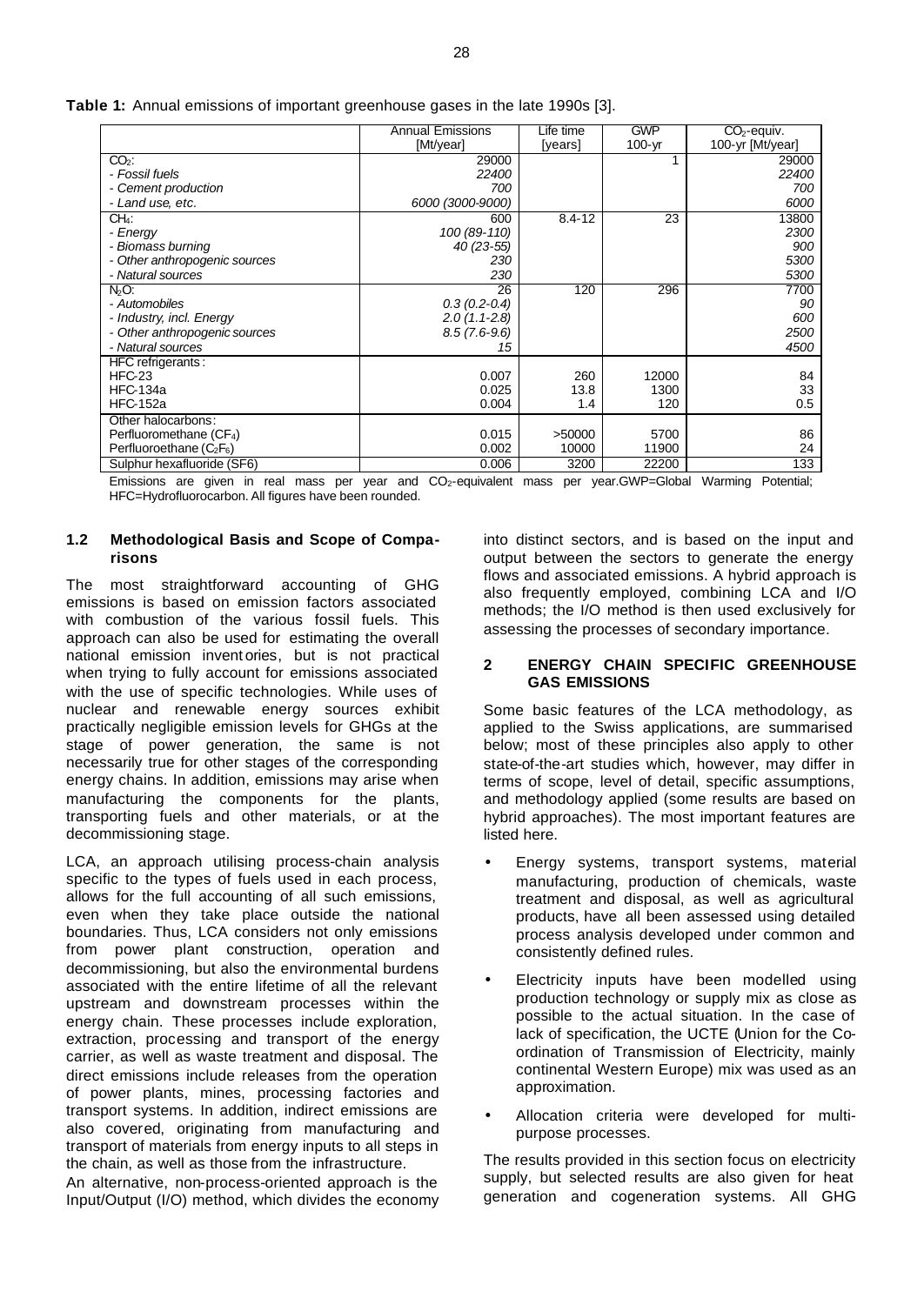|                               | <b>Annual Emissions</b> | Life time  | <b>GWP</b> | $CO2$ -equiv.    |
|-------------------------------|-------------------------|------------|------------|------------------|
|                               | [Mt/year]               | [years]    | 100-yr     | 100-yr [Mt/year] |
| $CO2$ :                       | 29000                   |            |            | 29000            |
| - Fossil fuels                | 22400                   |            |            | 22400            |
| - Cement production           | 700                     |            |            | 700              |
| - Land use, etc.              | 6000 (3000-9000)        |            |            | 6000             |
| CH4:                          | 600                     | $8.4 - 12$ | 23         | 13800            |
| - Energy                      | 100 (89-110)            |            |            | 2300             |
| - Biomass burning             | $40(23-55)$             |            |            | 900              |
| - Other anthropogenic sources | 230                     |            |            | 5300             |
| - Natural sources             | 230                     |            |            | 5300             |
| $N2O$ :                       | 26                      | 120        | 296        | 7700             |
| - Automobiles                 | $0.3(0.2 - 0.4)$        |            |            | 90               |
| - Industry, incl. Energy      | $2.0(1.1-2.8)$          |            |            | 600              |
| - Other anthropogenic sources | $8.5(7.6-9.6)$          |            |            | 2500             |
| - Natural sources             | 15                      |            |            | 4500             |
| HFC refrigerants:             |                         |            |            |                  |
| $HFC-23$                      | 0.007                   | 260        | 12000      | 84               |
| <b>HFC-134a</b>               | 0.025                   | 13.8       | 1300       | 33               |
| <b>HFC-152a</b>               | 0.004                   | 1.4        | 120        | 0.5              |
| Other halocarbons:            |                         |            |            |                  |
| Perfluoromethane $(CF_4)$     | 0.015                   | >50000     | 5700       | 86               |
| Perfluoroethane $(C_2F_6)$    | 0.002                   | 10000      | 11900      | 24               |
| Sulphur hexafluoride (SF6)    | 0.006                   | 3200       | 22200      | 133              |

**Table 1:** Annual emissions of important greenhouse gases in the late 1990s [3].

Emissions are given in real mass per year and CO2-equivalent mass per year.GWP=Global Warming Potential; HFC=Hydrofluorocarbon. All figures have been rounded.

# **1.2 Methodological Basis and Scope of Comparisons**

The most straightforward accounting of GHG emissions is based on emission factors associated with combustion of the various fossil fuels. This approach can also be used for estimating the overall national emission invent ories, but is not practical when trying to fully account for emissions associated with the use of specific technologies. While uses of nuclear and renewable energy sources exhibit practically negligible emission levels for GHGs at the stage of power generation, the same is not necessarily true for other stages of the corresponding energy chains. In addition, emissions may arise when manufacturing the components for the plants, transporting fuels and other materials, or at the decommissioning stage.

LCA, an approach utilising process-chain analysis specific to the types of fuels used in each process, allows for the full accounting of all such emissions, even when they take place outside the national boundaries. Thus, LCA considers not only emissions from power plant construction, operation and decommissioning, but also the environmental burdens associated with the entire lifetime of all the relevant upstream and downstream processes within the energy chain. These processes include exploration, extraction, processing and transport of the energy carrier, as well as waste treatment and disposal. The direct emissions include releases from the operation of power plants, mines, processing factories and transport systems. In addition, indirect emissions are also covered, originating from manufacturing and transport of materials from energy inputs to all steps in the chain, as well as those from the infrastructure.

An alternative, non-process-oriented approach is the Input/Output (I/O) method, which divides the economy

into distinct sectors, and is based on the input and output between the sectors to generate the energy flows and associated emissions. A hybrid approach is also frequently employed, combining LCA and I/O methods; the I/O method is then used exclusively for assessing the processes of secondary importance.

# **2 ENERGY CHAIN SPECIFIC GREENHOUSE GAS EMISSIONS**

Some basic features of the LCA methodology, as applied to the Swiss applications, are summarised below; most of these principles also apply to other state-of-the-art studies which, however, may differ in terms of scope, level of detail, specific assumptions, and methodology applied (some results are based on hybrid approaches). The most important features are listed here.

- Energy systems, transport systems, material manufacturing, production of chemicals, waste treatment and disposal, as well as agricultural products, have all been assessed using detailed process analysis developed under common and consistently defined rules.
- Electricity inputs have been modelled using production technology or supply mix as close as possible to the actual situation. In the case of lack of specification, the UCTE (Union for the Coordination of Transmission of Electricity, mainly continental Western Europe) mix was used as an approximation.
- Allocation criteria were developed for multipurpose processes.

The results provided in this section focus on electricity supply, but selected results are also given for heat generation and cogeneration systems. All GHG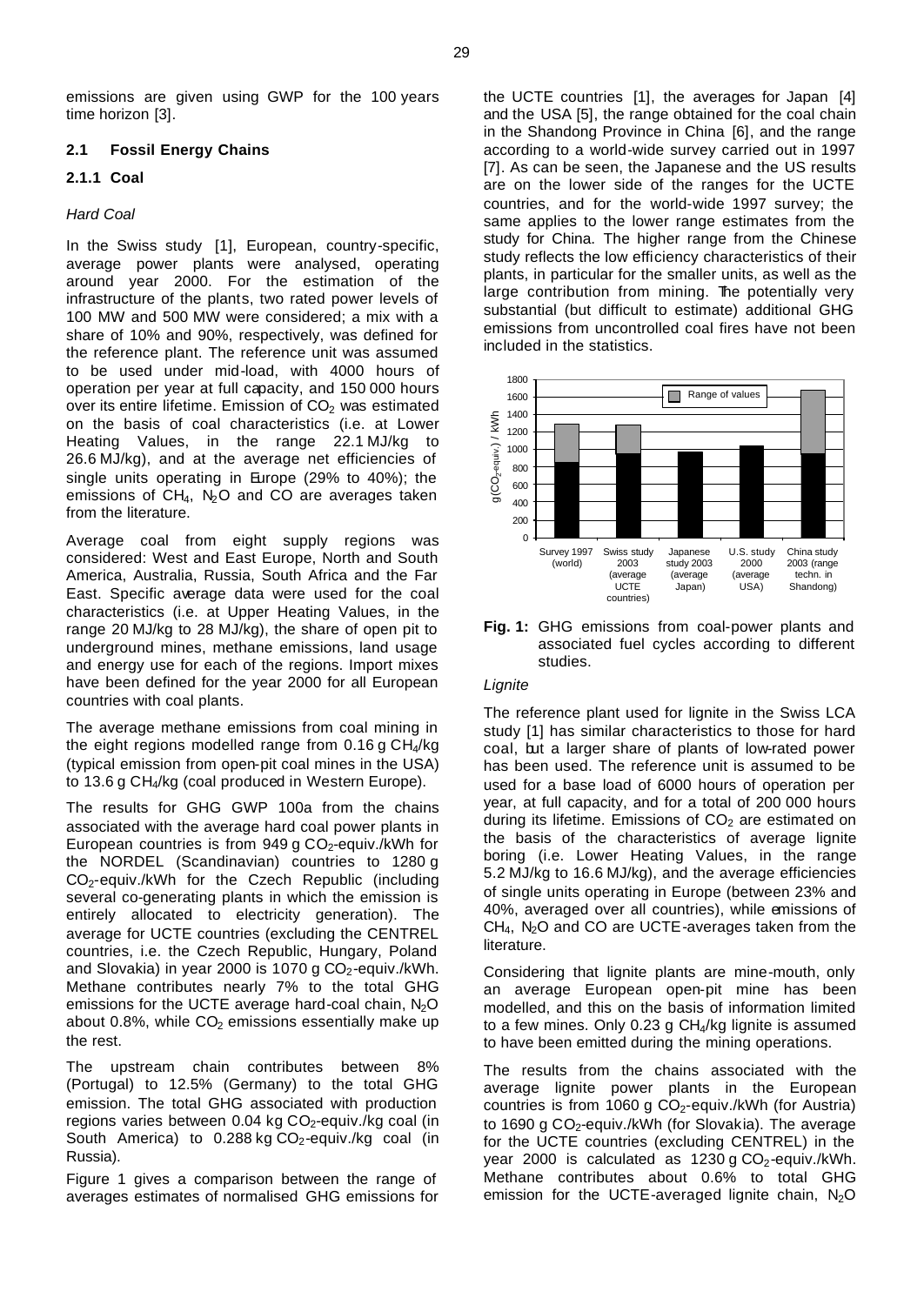emissions are given using GWP for the 100 years time horizon [3].

# **2.1 Fossil Energy Chains**

# **2.1.1 Coal**

# *Hard Coal*

In the Swiss study [1], European, country-specific, average power plants were analysed, operating around year 2000. For the estimation of the infrastructure of the plants, two rated power levels of 100 MW and 500 MW were considered; a mix with a share of 10% and 90%, respectively, was defined for the reference plant. The reference unit was assumed to be used under mid-load, with 4000 hours of operation per year at full capacity, and 150 000 hours over its entire lifetime. Emission of  $CO<sub>2</sub>$  was estimated on the basis of coal characteristics (i.e. at Lower Heating Values, in the range 22.1 MJ/kg to 26.6 MJ/kg), and at the average net efficiencies of single units operating in Europe (29% to 40%); the emissions of  $CH_4$ ,  $N_2O$  and CO are averages taken from the literature.

Average coal from eight supply regions was considered: West and East Europe, North and South America, Australia, Russia, South Africa and the Far East. Specific average data were used for the coal characteristics (i.e. at Upper Heating Values, in the range 20 MJ/kg to 28 MJ/kg), the share of open pit to underground mines, methane emissions, land usage and energy use for each of the regions. Import mixes have been defined for the year 2000 for all European countries with coal plants.

The average methane emissions from coal mining in the eight regions modelled range from  $0.16$  g CH<sub>4</sub>/kg (typical emission from open-pit coal mines in the USA) to 13.6 g CH4/kg (coal produced in Western Europe).

The results for GHG GWP 100a from the chains associated with the average hard coal power plants in European countries is from 949 g  $CO<sub>2</sub>$ -equiv./kWh for the NORDEL (Scandinavian) countries to 1280 g CO<sub>2</sub>-equiv./kWh for the Czech Republic (including several co-generating plants in which the emission is entirely allocated to electricity generation). The average for UCTE countries (excluding the CENTREL countries, i.e. the Czech Republic, Hungary, Poland and Slovakia) in year 2000 is 1070 g  $CO<sub>2</sub>$ -equiv./kWh. Methane contributes nearly 7% to the total GHG emissions for the UCTE average hard-coal chain, N<sub>2</sub>O about 0.8%, while  $CO<sub>2</sub>$  emissions essentially make up the rest.

The upstream chain contributes between 8% (Portugal) to 12.5% (Germany) to the total GHG emission. The total GHG associated with production regions varies between 0.04 kg  $CO<sub>2</sub>$ -equiv./kg coal (in South America) to  $0.288$  kg CO<sub>2</sub>-equiv./kg coal (in Russia).

Figure 1 gives a comparison between the range of averages estimates of normalised GHG emissions for the UCTE countries [1], the averages for Japan [4] and the USA [5], the range obtained for the coal chain in the Shandong Province in China [6], and the range according to a world-wide survey carried out in 1997 [7]. As can be seen, the Japanese and the US results are on the lower side of the ranges for the UCTE countries, and for the world-wide 1997 survey; the same applies to the lower range estimates from the study for China. The higher range from the Chinese study reflects the low efficiency characteristics of their plants, in particular for the smaller units, as well as the large contribution from mining. The potentially very substantial (but difficult to estimate) additional GHG emissions from uncontrolled coal fires have not been included in the statistics.





# *Lignite*

The reference plant used for lignite in the Swiss LCA study [1] has similar characteristics to those for hard coal, but a larger share of plants of low-rated power has been used. The reference unit is assumed to be used for a base load of 6000 hours of operation per year, at full capacity, and for a total of 200 000 hours during its lifetime. Emissions of  $CO<sub>2</sub>$  are estimated on the basis of the characteristics of average lignite boring (i.e. Lower Heating Values, in the range 5.2 MJ/kg to 16.6 MJ/kg), and the average efficiencies of single units operating in Europe (between 23% and 40%, averaged over all countries), while emissions of  $CH<sub>4</sub>$ , N<sub>2</sub>O and CO are UCTE-averages taken from the literature.

Considering that lignite plants are mine-mouth, only an average European open-pit mine has been modelled, and this on the basis of information limited to a few mines. Only  $0.23$  g CH<sub>4</sub>/kg lignite is assumed to have been emitted during the mining operations.

The results from the chains associated with the average lignite power plants in the European countries is from 1060 g  $CO<sub>2</sub>$ -equiv./kWh (for Austria) to 1690 g  $CO<sub>2</sub>$ -equiv./kWh (for Slovakia). The average for the UCTE countries (excluding CENTREL) in the year 2000 is calculated as  $1230 g CO<sub>2</sub>$ -equiv./kWh. Methane contributes about 0.6% to total GHG emission for the UCTE-averaged lignite chain,  $N_2O$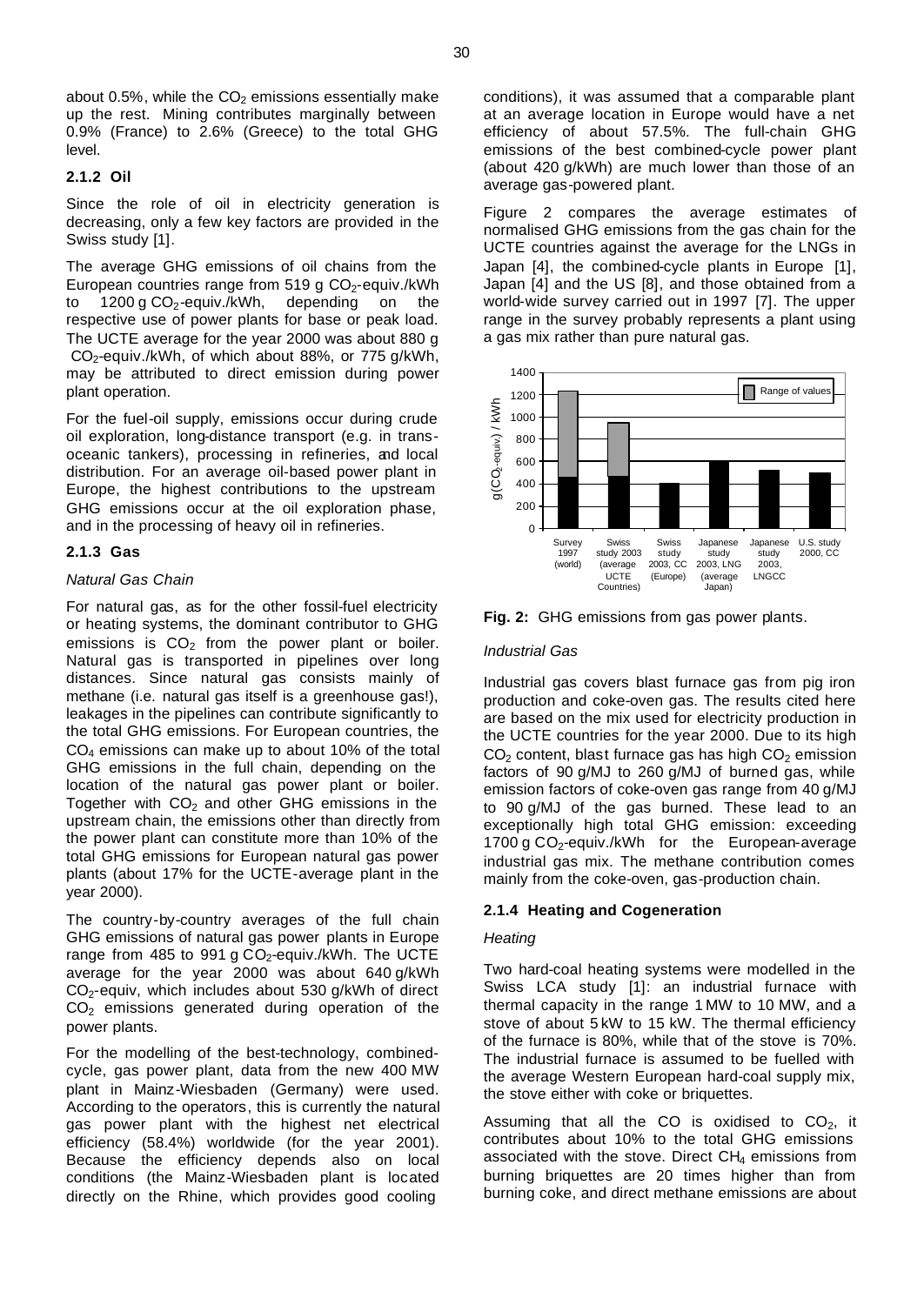about 0.5%, while the  $CO<sub>2</sub>$  emissions essentially make up the rest. Mining contributes marginally between 0.9% (France) to 2.6% (Greece) to the total GHG level.

# **2.1.2 Oil**

Since the role of oil in electricity generation is decreasing, only a few key factors are provided in the Swiss study [1].

The average GHG emissions of oil chains from the European countries range from 519 g  $CO<sub>2</sub>$ -equiv./kWh to  $1200 g CO<sub>2</sub>$ -equiv./kWh, depending on the respective use of power plants for base or peak load. The UCTE average for the year 2000 was about 880 g  $CO<sub>2</sub>$ -equiv./kWh, of which about 88%, or 775 g/kWh, may be attributed to direct emission during power plant operation.

For the fuel-oil supply, emissions occur during crude oil exploration, long-distance transport (e.g. in transoceanic tankers), processing in refineries, and local distribution. For an average oil-based power plant in Europe, the highest contributions to the upstream GHG emissions occur at the oil exploration phase, and in the processing of heavy oil in refineries.

# **2.1.3 Gas**

# *Natural Gas Chain*

For natural gas, as for the other fossil-fuel electricity or heating systems, the dominant contributor to GHG emissions is  $CO<sub>2</sub>$  from the power plant or boiler. Natural gas is transported in pipelines over long distances. Since natural gas consists mainly of methane (i.e. natural gas itself is a greenhouse gas!), leakages in the pipelines can contribute significantly to the total GHG emissions. For European countries, the CO4 emissions can make up to about 10% of the total GHG emissions in the full chain, depending on the location of the natural gas power plant or boiler. Together with  $CO<sub>2</sub>$  and other GHG emissions in the upstream chain, the emissions other than directly from the power plant can constitute more than 10% of the total GHG emissions for European natural gas power plants (about 17% for the UCTE-average plant in the year 2000).

The country-by-country averages of the full chain GHG emissions of natural gas power plants in Europe range from 485 to 991 g  $CO<sub>2</sub>$ -equiv./kWh. The UCTE average for the year 2000 was about 640 g/kWh CO2-equiv, which includes about 530 g/kWh of direct  $CO<sub>2</sub>$  emissions generated during operation of the power plants.

For the modelling of the best-technology, combinedcycle, gas power plant, data from the new 400 MW plant in Mainz-Wiesbaden (Germany) were used. According to the operators, this is currently the natural gas power plant with the highest net electrical efficiency (58.4%) worldwide (for the year 2001). Because the efficiency depends also on local conditions (the Mainz-Wiesbaden plant is located directly on the Rhine, which provides good cooling

conditions), it was assumed that a comparable plant at an average location in Europe would have a net efficiency of about 57.5%. The full-chain GHG emissions of the best combined-cycle power plant (about 420 g/kWh) are much lower than those of an average gas-powered plant.

Figure 2 compares the average estimates of normalised GHG emissions from the gas chain for the UCTE countries against the average for the LNGs in Japan [4], the combined-cycle plants in Europe [1], Japan [4] and the US [8], and those obtained from a world-wide survey carried out in 1997 [7]. The upper range in the survey probably represents a plant using a gas mix rather than pure natural gas.



**Fig. 2:** GHG emissions from gas power plants.

# *Industrial Gas*

Industrial gas covers blast furnace gas from pig iron production and coke-oven gas. The results cited here are based on the mix used for electricity production in the UCTE countries for the year 2000. Due to its high  $CO<sub>2</sub>$  content, blast furnace gas has high  $CO<sub>2</sub>$  emission factors of 90 g/MJ to 260 g/MJ of burned gas, while emission factors of coke-oven gas range from 40 g/MJ to 90 g/MJ of the gas burned. These lead to an exceptionally high total GHG emission: exceeding 1700 g CO<sub>2</sub>-equiv./kWh for the European-average industrial gas mix. The methane contribution comes mainly from the coke-oven, gas-production chain.

# **2.1.4 Heating and Cogeneration**

# *Heating*

Two hard-coal heating systems were modelled in the Swiss LCA study [1]: an industrial furnace with thermal capacity in the range 1 MW to 10 MW, and a stove of about 5 kW to 15 kW. The thermal efficiency of the furnace is 80%, while that of the stove is 70%. The industrial furnace is assumed to be fuelled with the average Western European hard-coal supply mix, the stove either with coke or briquettes.

Assuming that all the CO is oxidised to  $CO<sub>2</sub>$ , it contributes about 10% to the total GHG emissions associated with the stove. Direct  $CH<sub>4</sub>$  emissions from burning briquettes are 20 times higher than from burning coke, and direct methane emissions are about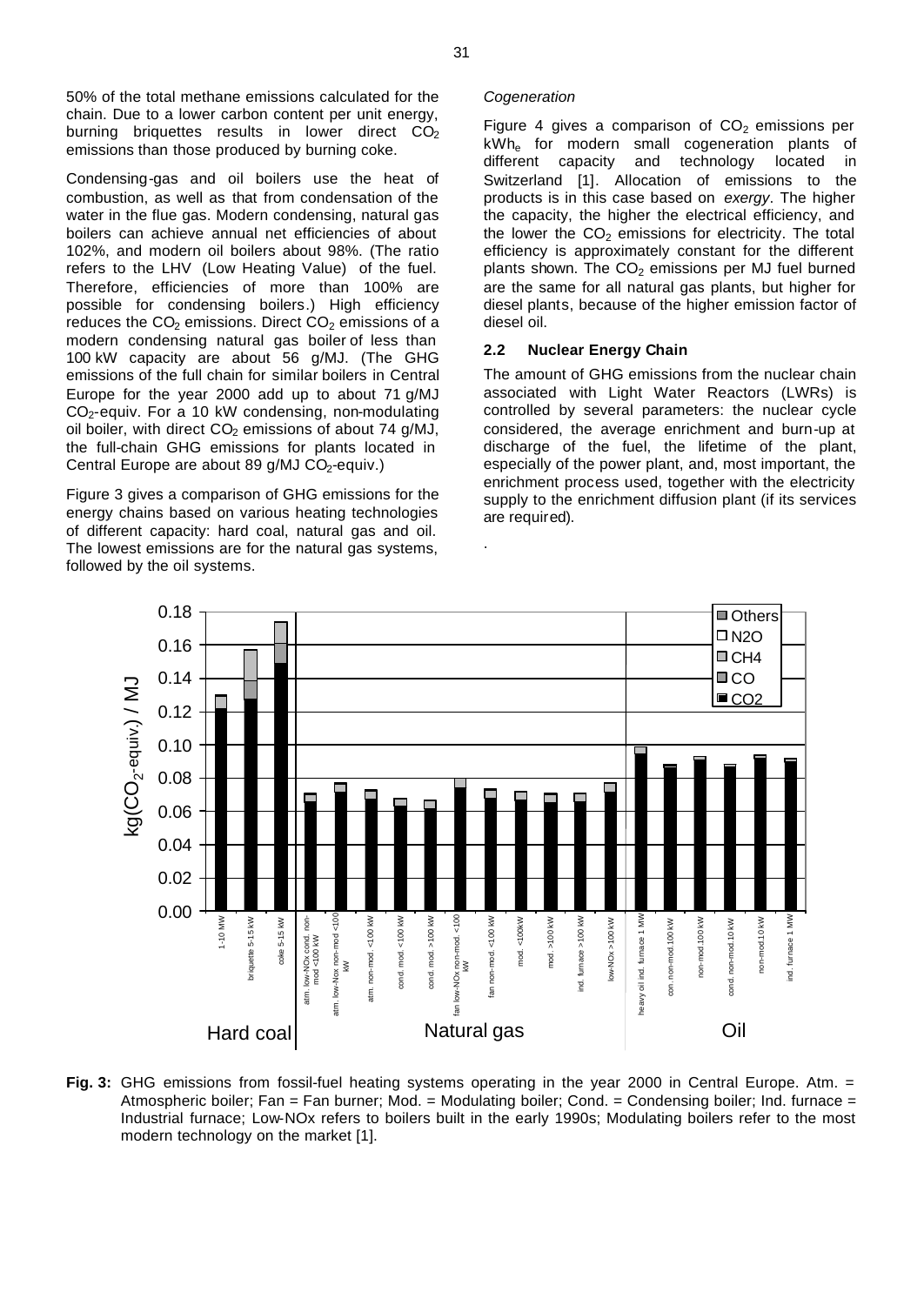50% of the total methane emissions calculated for the chain. Due to a lower carbon content per unit energy, burning briquettes results in lower direct  $CO<sub>2</sub>$ emissions than those produced by burning coke.

Condensing-gas and oil boilers use the heat of combustion, as well as that from condensation of the water in the flue gas. Modern condensing, natural gas boilers can achieve annual net efficiencies of about 102%, and modern oil boilers about 98%. (The ratio refers to the LHV (Low Heating Value) of the fuel. Therefore, efficiencies of more than 100% are possible for condensing boilers.) High efficiency reduces the  $CO<sub>2</sub>$  emissions. Direct  $CO<sub>2</sub>$  emissions of a modern condensing natural gas boiler of less than 100 kW capacity are about 56 g/MJ. (The GHG emissions of the full chain for similar boilers in Central Europe for the year 2000 add up to about 71 g/MJ  $CO<sub>2</sub>$ -equiv. For a 10 kW condensing, non-modulating oil boiler, with direct  $CO<sub>2</sub>$  emissions of about 74 g/MJ, the full-chain GHG emissions for plants located in Central Europe are about 89 g/MJ CO<sub>2</sub>-equiv.)

Figure 3 gives a comparison of GHG emissions for the energy chains based on various heating technologies of different capacity: hard coal, natural gas and oil. The lowest emissions are for the natural gas systems, followed by the oil systems.

#### *Cogeneration*

Figure 4 gives a comparison of  $CO<sub>2</sub>$  emissions per kWh<sub>e</sub> for modern small cogeneration plants of<br>different capacity and technology located in different capacity and technology located in Switzerland [1]. Allocation of emissions to the products is in this case based on *exergy*. The higher the capacity, the higher the electrical efficiency, and the lower the  $CO<sub>2</sub>$  emissions for electricity. The total efficiency is approximately constant for the different plants shown. The  $CO<sub>2</sub>$  emissions per MJ fuel burned are the same for all natural gas plants, but higher for diesel plants, because of the higher emission factor of diesel oil.

### **2.2 Nuclear Energy Chain**

The amount of GHG emissions from the nuclear chain associated with Light Water Reactors (LWRs) is controlled by several parameters: the nuclear cycle considered, the average enrichment and burn-up at discharge of the fuel, the lifetime of the plant, especially of the power plant, and, most important, the enrichment process used, together with the electricity supply to the enrichment diffusion plant (if its services are required).



.

**Fig. 3:** GHG emissions from fossil-fuel heating systems operating in the year 2000 in Central Europe. Atm. = Atmospheric boiler; Fan = Fan burner; Mod. = Modulating boiler; Cond. = Condensing boiler; Ind. furnace = Industrial furnace; Low-NOx refers to boilers built in the early 1990s; Modulating boilers refer to the most modern technology on the market [1].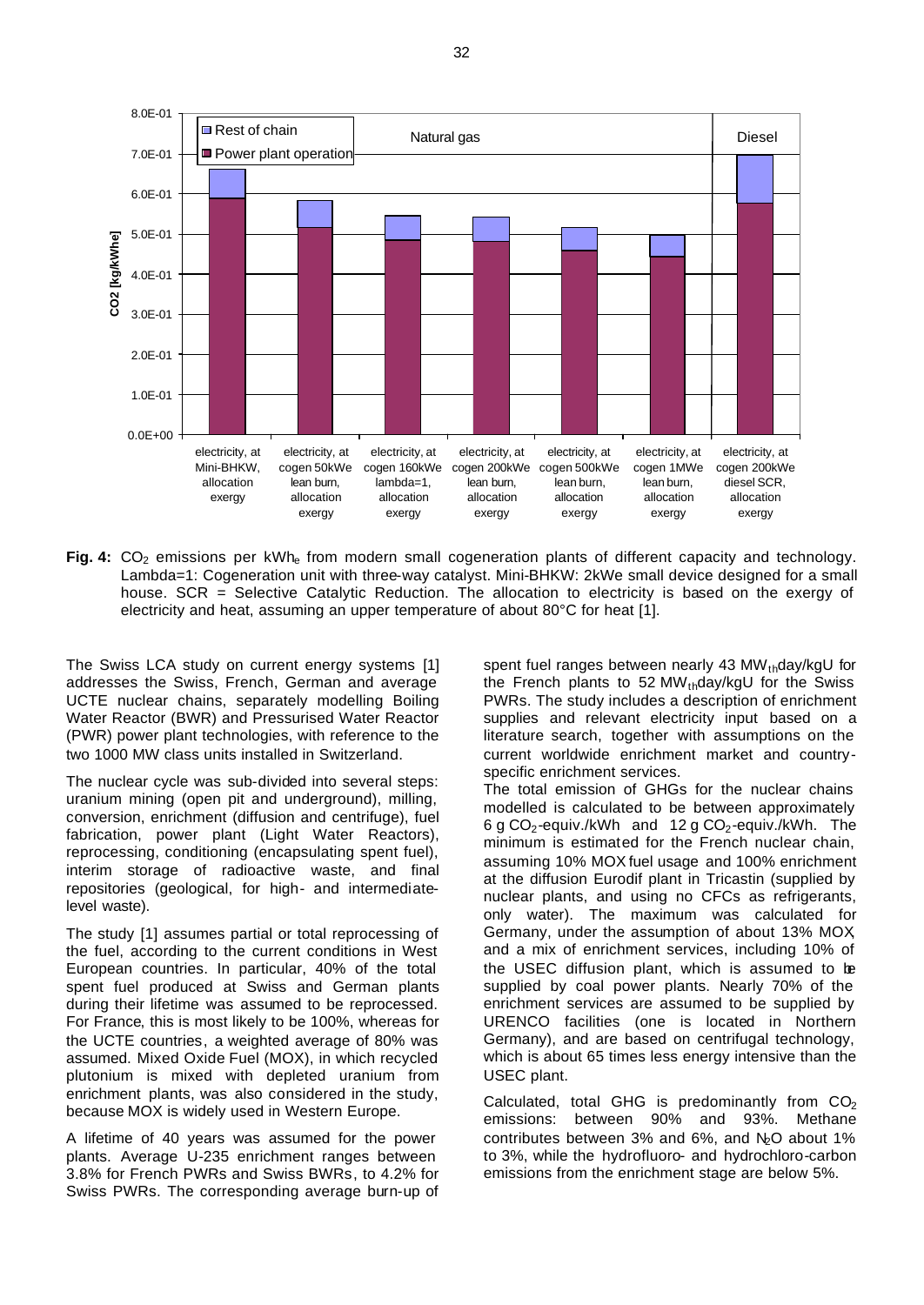

Fig. 4: CO<sub>2</sub> emissions per kWh<sub>e</sub> from modern small cogeneration plants of different capacity and technology. Lambda=1: Cogeneration unit with three-way catalyst. Mini-BHKW: 2kWe small device designed for a small house. SCR = Selective Catalytic Reduction. The allocation to electricity is based on the exergy of electricity and heat, assuming an upper temperature of about 80°C for heat [1].

The Swiss LCA study on current energy systems [1] addresses the Swiss, French, German and average UCTE nuclear chains, separately modelling Boiling Water Reactor (BWR) and Pressurised Water Reactor (PWR) power plant technologies, with reference to the two 1000 MW class units installed in Switzerland.

The nuclear cycle was sub-divided into several steps: uranium mining (open pit and underground), milling, conversion, enrichment (diffusion and centrifuge), fuel fabrication, power plant (Light Water Reactors), reprocessing, conditioning (encapsulating spent fuel), interim storage of radioactive waste, and final repositories (geological, for high- and intermediatelevel waste).

The study [1] assumes partial or total reprocessing of the fuel, according to the current conditions in West European countries. In particular, 40% of the total spent fuel produced at Swiss and German plants during their lifetime was assumed to be reprocessed. For France, this is most likely to be 100%, whereas for the UCTE countries, a weighted average of 80% was assumed. Mixed Oxide Fuel (MOX), in which recycled plutonium is mixed with depleted uranium from enrichment plants, was also considered in the study, because MOX is widely used in Western Europe.

A lifetime of 40 years was assumed for the power plants. Average U-235 enrichment ranges between 3.8% for French PWRs and Swiss BWRs, to 4.2% for Swiss PWRs. The corresponding average burn-up of spent fuel ranges between nearly 43  $MW_{th}$ day/kgU for the French plants to 52 MW $_{th}$ day/kgU for the Swiss PWRs. The study includes a description of enrichment supplies and relevant electricity input based on a literature search, together with assumptions on the current worldwide enrichment market and countryspecific enrichment services.

The total emission of GHGs for the nuclear chains modelled is calculated to be between approximately 6 g CO<sub>2</sub>-equiv./kWh and 12 g CO<sub>2</sub>-equiv./kWh. The minimum is estimated for the French nuclear chain, assuming 10% MOX fuel usage and 100% enrichment at the diffusion Eurodif plant in Tricastin (supplied by nuclear plants, and using no CFCs as refrigerants, only water). The maximum was calculated for Germany, under the assumption of about 13% MOX, and a mix of enrichment services, including 10% of the USEC diffusion plant, which is assumed to be supplied by coal power plants. Nearly 70% of the enrichment services are assumed to be supplied by URENCO facilities (one is located in Northern Germany), and are based on centrifugal technology, which is about 65 times less energy intensive than the USEC plant.

Calculated, total GHG is predominantly from  $CO<sub>2</sub>$ emissions: between 90% and 93%. Methane contributes between  $3\%$  and  $6\%$ , and  $N_e$ O about  $1\%$ to 3%, while the hydrofluoro- and hydrochloro-carbon emissions from the enrichment stage are below 5%.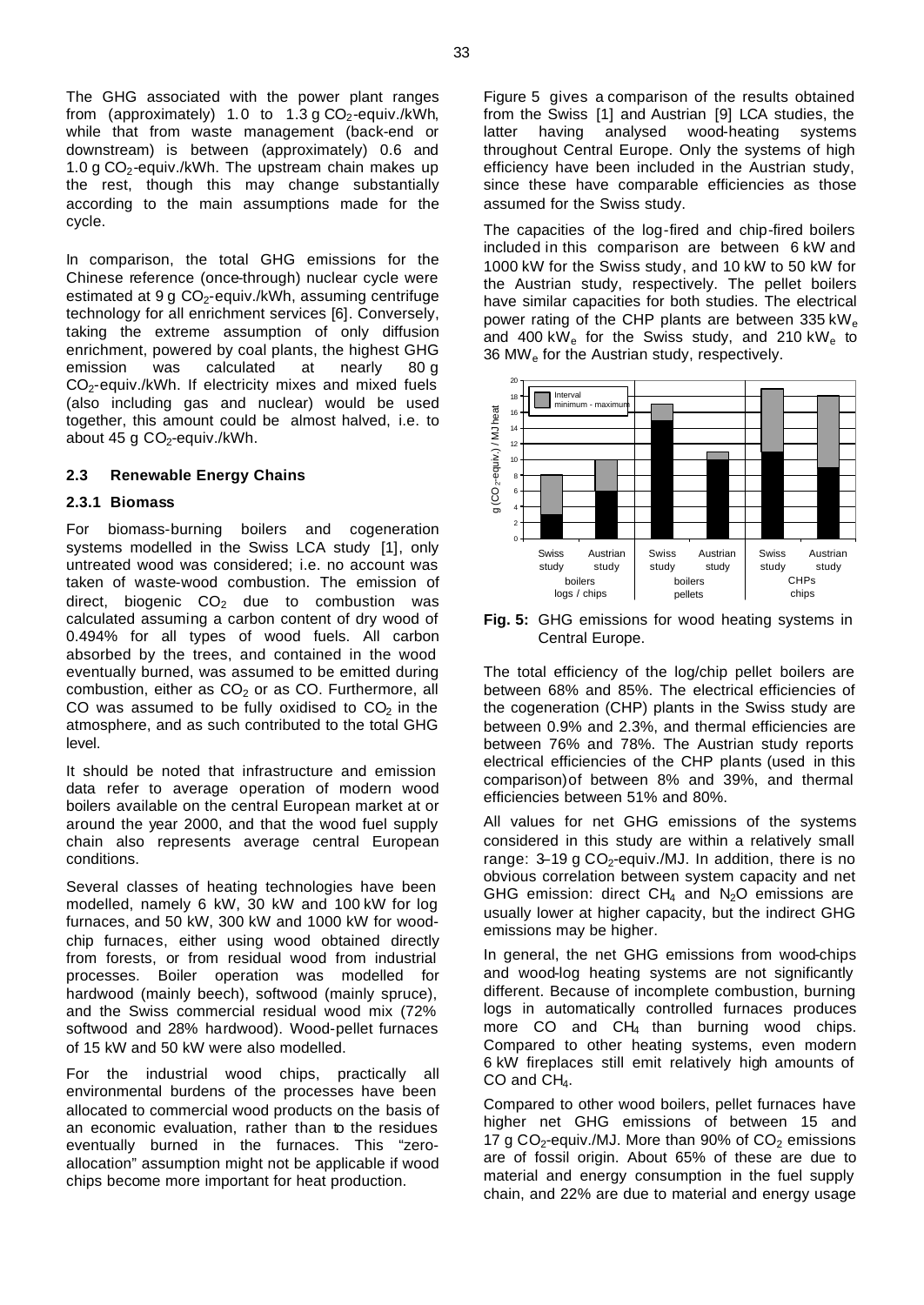The GHG associated with the power plant ranges from (approximately) 1.0 to 1.3 g  $CO<sub>2</sub>$ -equiv./kWh, while that from waste management (back-end or downstream) is between (approximately) 0.6 and 1.0 g  $CO<sub>2</sub>$ -equiv./kWh. The upstream chain makes up the rest, though this may change substantially according to the main assumptions made for the cycle.

In comparison, the total GHG emissions for the Chinese reference (once-through) nuclear cycle were estimated at  $9 g CO<sub>2</sub>$ -equiv./kWh, assuming centrifuge technology for all enrichment services [6]. Conversely, taking the extreme assumption of only diffusion enrichment, powered by coal plants, the highest GHG emission was calculated at nearly 80 g  $CO<sub>2</sub>$ -equiv./kWh. If electricity mixes and mixed fuels (also including gas and nuclear) would be used together, this amount could be almost halved, i.e. to about 45 g CO<sub>2</sub>-equiv./kWh.

# **2.3 Renewable Energy Chains**

#### **2.3.1 Biomass**

For biomass-burning boilers and cogeneration systems modelled in the Swiss LCA study [1], only untreated wood was considered; i.e. no account was taken of waste-wood combustion. The emission of direct, biogenic  $CO<sub>2</sub>$  due to combustion was calculated assuming a carbon content of dry wood of 0.494% for all types of wood fuels. All carbon absorbed by the trees, and contained in the wood eventually burned, was assumed to be emitted during combustion, either as  $CO<sub>2</sub>$  or as CO. Furthermore, all CO was assumed to be fully oxidised to  $CO<sub>2</sub>$  in the atmosphere, and as such contributed to the total GHG level.

It should be noted that infrastructure and emission data refer to average operation of modern wood boilers available on the central European market at or around the year 2000, and that the wood fuel supply chain also represents average central European conditions.

Several classes of heating technologies have been modelled, namely 6 kW, 30 kW and 100 kW for log furnaces, and 50 kW, 300 kW and 1000 kW for woodchip furnaces, either using wood obtained directly from forests, or from residual wood from industrial processes. Boiler operation was modelled for hardwood (mainly beech), softwood (mainly spruce), and the Swiss commercial residual wood mix (72% softwood and 28% hardwood). Wood-pellet furnaces of 15 kW and 50 kW were also modelled.

For the industrial wood chips, practically all environmental burdens of the processes have been allocated to commercial wood products on the basis of an economic evaluation, rather than to the residues eventually burned in the furnaces. This "zeroallocation" assumption might not be applicable if wood chips become more important for heat production.

Figure 5 gives a comparison of the results obtained from the Swiss [1] and Austrian [9] LCA studies, the latter having analysed wood-heating systems throughout Central Europe. Only the systems of high efficiency have been included in the Austrian study, since these have comparable efficiencies as those assumed for the Swiss study.

The capacities of the log-fired and chip-fired boilers included in this comparison are between 6 kW and 1000 kW for the Swiss study, and 10 kW to 50 kW for the Austrian study, respectively. The pellet boilers have similar capacities for both studies. The electrical power rating of the CHP plants are between 335 k $W_e$ and 400 kW<sub>e</sub> for the Swiss study, and 210 kW<sub>e</sub> to 36 MW $_{\rm e}$  for the Austrian study, respectively.



**Fig. 5:** GHG emissions for wood heating systems in Central Europe.

The total efficiency of the log/chip pellet boilers are between 68% and 85%. The electrical efficiencies of the cogeneration (CHP) plants in the Swiss study are between 0.9% and 2.3%, and thermal efficiencies are between 76% and 78%. The Austrian study reports electrical efficiencies of the CHP plants (used in this comparison)of between 8% and 39%, and thermal efficiencies between 51% and 80%.

All values for net GHG emissions of the systems considered in this study are within a relatively small range:  $3-19$  g CO<sub>2</sub>-equiv./MJ. In addition, there is no obvious correlation between system capacity and net GHG emission: direct  $CH_4$  and  $N_2O$  emissions are usually lower at higher capacity, but the indirect GHG emissions may be higher.

In general, the net GHG emissions from wood-chips and wood-log heating systems are not significantly different. Because of incomplete combustion, burning logs in automatically controlled furnaces produces more CO and CH<sub>4</sub> than burning wood chips. Compared to other heating systems, even modern 6 kW fireplaces still emit relatively high amounts of CO and CH<sub>4</sub>.

Compared to other wood boilers, pellet furnaces have higher net GHG emissions of between 15 and 17 g CO<sub>2</sub>-equiv./MJ. More than 90% of  $CO<sub>2</sub>$  emissions are of fossil origin. About 65% of these are due to material and energy consumption in the fuel supply chain, and 22% are due to material and energy usage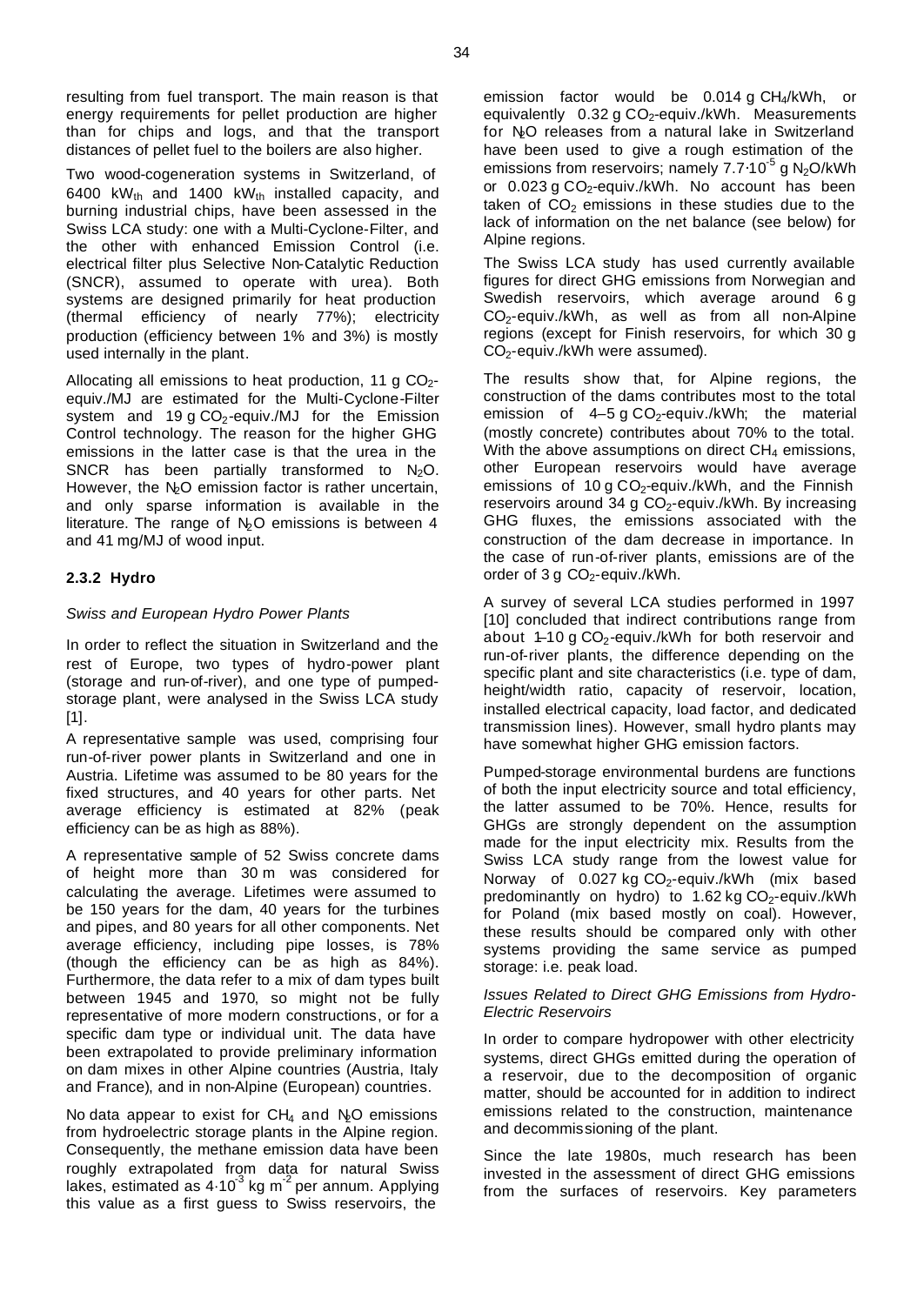resulting from fuel transport. The main reason is that energy requirements for pellet production are higher than for chips and logs, and that the transport distances of pellet fuel to the boilers are also higher.

Two wood-cogeneration systems in Switzerland, of 6400 kW<sub>th</sub> and 1400 kW<sub>th</sub> installed capacity, and burning industrial chips, have been assessed in the Swiss LCA study: one with a Multi-Cyclone-Filter, and the other with enhanced Emission Control (i.e. electrical filter plus Selective Non-Catalytic Reduction (SNCR), assumed to operate with urea). Both systems are designed primarily for heat production (thermal efficiency of nearly 77%); electricity production (efficiency between 1% and 3%) is mostly used internally in the plant.

Allocating all emissions to heat production, 11 g  $CO<sub>2</sub>$ equiv./MJ are estimated for the Multi-Cyclone-Filter system and 19 g  $CO<sub>2</sub>$ -equiv./MJ for the Emission Control technology. The reason for the higher GHG emissions in the latter case is that the urea in the SNCR has been partially transformed to  $N<sub>2</sub>O$ . However, the N<sub>2</sub>O emission factor is rather uncertain, and only sparse information is available in the literature. The range of  $N<sub>2</sub>O$  emissions is between 4 and 41 mg/MJ of wood input.

# **2.3.2 Hydro**

# *Swiss and European Hydro Power Plants*

In order to reflect the situation in Switzerland and the rest of Europe, two types of hydro-power plant (storage and run-of-river), and one type of pumpedstorage plant, were analysed in the Swiss LCA study [1].

A representative sample was used, comprising four run-of-river power plants in Switzerland and one in Austria. Lifetime was assumed to be 80 years for the fixed structures, and 40 years for other parts. Net average efficiency is estimated at 82% (peak efficiency can be as high as 88%).

A representative sample of 52 Swiss concrete dams of height more than 30 m was considered for calculating the average. Lifetimes were assumed to be 150 years for the dam, 40 years for the turbines and pipes, and 80 years for all other components. Net average efficiency, including pipe losses, is 78% (though the efficiency can be as high as 84%). Furthermore, the data refer to a mix of dam types built between 1945 and 1970, so might not be fully representative of more modern constructions, or for a specific dam type or individual unit. The data have been extrapolated to provide preliminary information on dam mixes in other Alpine countries (Austria, Italy and France), and in non-Alpine (European) countries.

No data appear to exist for  $CH_4$  and  $N_2O$  emissions from hydroelectric storage plants in the Alpine region. Consequently, the methane emission data have been roughly extrapolated from data for natural Swiss lakes, estimated as  $4.10^3$  kg m<sup>-2</sup> per annum. Applying this value as a first guess to Swiss reservoirs, the

emission factor would be 0.014 g CH4/kWh, or equivalently  $0.32$  g CO<sub>2</sub>-equiv./kWh. Measurements for N<sub>2</sub>O releases from a natural lake in Switzerland have been used to give a rough estimation of the emissions from reservoirs; namely 7.7⋅10<sup>-5</sup> g N<sub>2</sub>O/kWh or  $0.023$  g  $CO<sub>2</sub>$ -equiv./kWh. No account has been taken of  $CO<sub>2</sub>$  emissions in these studies due to the lack of information on the net balance (see below) for Alpine regions.

The Swiss LCA study has used currently available figures for direct GHG emissions from Norwegian and Swedish reservoirs, which average around 6 g  $CO<sub>2</sub>$ -equiv./kWh, as well as from all non-Alpine regions (except for Finish reservoirs, for which 30 g CO<sub>2</sub>-equiv./kWh were assumed).

The results show that, for Alpine regions, the construction of the dams contributes most to the total emission of  $4-5$  g CO<sub>2</sub>-equiv./kWh; the material (mostly concrete) contributes about 70% to the total. With the above assumptions on direct  $CH<sub>4</sub>$  emissions, other European reservoirs would have average emissions of 10 g  $CO<sub>2</sub>$ -equiv./kWh, and the Finnish reservoirs around 34 g  $CO<sub>2</sub>$ -equiv./kWh. By increasing GHG fluxes, the emissions associated with the construction of the dam decrease in importance. In the case of run-of-river plants, emissions are of the order of 3 g  $CO<sub>2</sub>$ -equiv./kWh.

A survey of several LCA studies performed in 1997 [10] concluded that indirect contributions range from about  $1-10$  g CO<sub>2</sub>-equiv./kWh for both reservoir and run-of-river plants, the difference depending on the specific plant and site characteristics (i.e. type of dam, height/width ratio, capacity of reservoir, location, installed electrical capacity, load factor, and dedicated transmission lines). However, small hydro plants may have somewhat higher GHG emission factors.

Pumped-storage environmental burdens are functions of both the input electricity source and total efficiency, the latter assumed to be 70%. Hence, results for GHGs are strongly dependent on the assumption made for the input electricity mix. Results from the Swiss LCA study range from the lowest value for Norway of  $0.027$  kg CO<sub>2</sub>-equiv./kWh (mix based predominantly on hydro) to  $1.62$  kg CO<sub>2</sub>-equiv./kWh for Poland (mix based mostly on coal). However, these results should be compared only with other systems providing the same service as pumped storage: i.e. peak load.

### *Issues Related to Direct GHG Emissions from Hydro-Electric Reservoirs*

In order to compare hydropower with other electricity systems, direct GHGs emitted during the operation of a reservoir, due to the decomposition of organic matter, should be accounted for in addition to indirect emissions related to the construction, maintenance and decommissioning of the plant.

Since the late 1980s, much research has been invested in the assessment of direct GHG emissions from the surfaces of reservoirs. Key parameters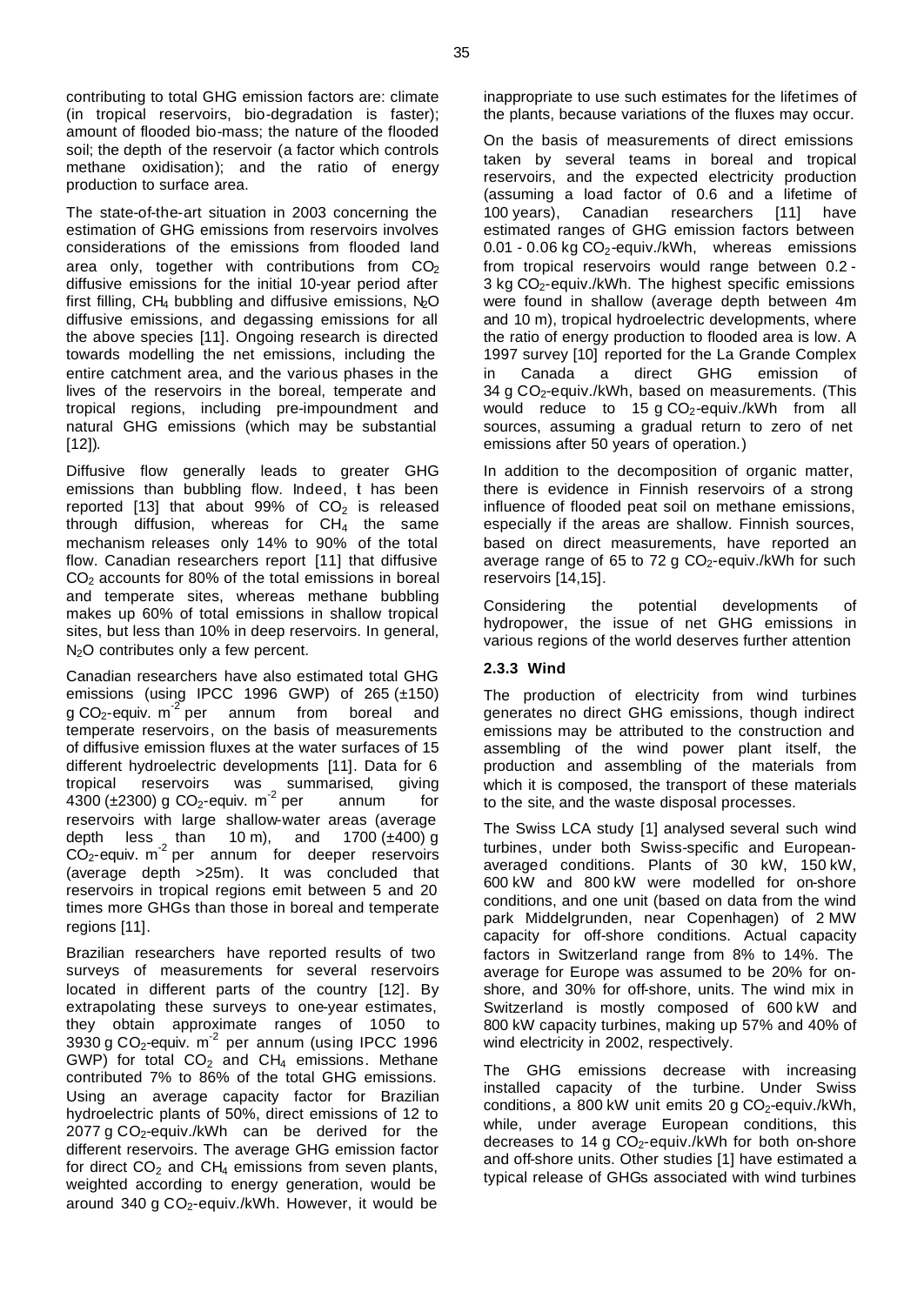contributing to total GHG emission factors are: climate (in tropical reservoirs, bio-degradation is faster); amount of flooded bio-mass; the nature of the flooded soil; the depth of the reservoir (a factor which controls methane oxidisation); and the ratio of energy production to surface area.

The state-of-the-art situation in 2003 concerning the estimation of GHG emissions from reservoirs involves considerations of the emissions from flooded land area only, together with contributions from  $CO<sub>2</sub>$ diffusive emissions for the initial 10-year period after first filling, CH<sub>4</sub> bubbling and diffusive emissions,  $N_2O$ diffusive emissions, and degassing emissions for all the above species [11]. Ongoing research is directed towards modelling the net emissions, including the entire catchment area, and the various phases in the lives of the reservoirs in the boreal, temperate and tropical regions, including pre-impoundment and natural GHG emissions (which may be substantial [12]).

Diffusive flow generally leads to greater GHG emissions than bubbling flow. Indeed, t has been reported [13] that about 99% of  $CO<sub>2</sub>$  is released through diffusion, whereas for  $CH<sub>4</sub>$  the same mechanism releases only 14% to 90% of the total flow. Canadian researchers report [11] that diffusive  $CO<sub>2</sub>$  accounts for 80% of the total emissions in boreal and temperate sites, whereas methane bubbling makes up 60% of total emissions in shallow tropical sites, but less than 10% in deep reservoirs. In general, N<sub>2</sub>O contributes only a few percent.

Canadian researchers have also estimated total GHG emissions (using IPCC 1996 GWP) of 265 (±150) g CO<sub>2</sub>-equiv. m<sup>-2</sup> per annum from boreal and temperate reservoirs, on the basis of measurements of diffusive emission fluxes at the water surfaces of 15 different hydroelectric developments [11]. Data for 6 tropical reservoirs was summarised, giving  $4300 \, (\pm 2300)$  g CO<sub>2</sub>-equiv. m<sup>-2</sup> per annum for reservoirs with large shallow-water areas (average depth less than 10 m), and 1700  $(\pm 400)$  g  $\overline{CO}_{2}$ -equiv. m<sup>-2</sup> per annum for deeper reservoirs (average depth >25m). It was concluded that reservoirs in tropical regions emit between 5 and 20 times more GHGs than those in boreal and temperate regions [11].

Brazilian researchers have reported results of two surveys of measurements for several reservoirs located in different parts of the country [12]. By extrapolating these surveys to one-year estimates, they obtain approximate ranges of 1050 to  $3930 g$  CO<sub>2</sub>-equiv. m<sup>-2</sup> per annum (using IPCC 1996 GWP) for total  $CO<sub>2</sub>$  and  $CH<sub>4</sub>$  emissions. Methane contributed 7% to 86% of the total GHG emissions. Using an average capacity factor for Brazilian hydroelectric plants of 50%, direct emissions of 12 to  $2077$  g CO<sub>2</sub>-equiv./kWh can be derived for the different reservoirs. The average GHG emission factor for direct  $CO<sub>2</sub>$  and  $CH<sub>4</sub>$  emissions from seven plants, weighted according to energy generation, would be around 340 g  $CO<sub>2</sub>$ -equiv./kWh. However, it would be

inappropriate to use such estimates for the lifetimes of the plants, because variations of the fluxes may occur.

On the basis of measurements of direct emissions taken by several teams in boreal and tropical reservoirs, and the expected electricity production (assuming a load factor of 0.6 and a lifetime of 100 years), Canadian researchers [11] have estimated ranges of GHG emission factors between  $0.01 - 0.06$  kg  $CO<sub>2</sub>$ -equiv./kWh, whereas emissions from tropical reservoirs would range between 0.2 - 3 kg CO<sub>2</sub>-equiv./kWh. The highest specific emissions were found in shallow (average depth between 4m and 10 m), tropical hydroelectric developments, where the ratio of energy production to flooded area is low. A 1997 survey [10] reported for the La Grande Complex in Canada a direct GHG emission of 34 g  $CO<sub>2</sub>$ -equiv./kWh, based on measurements. (This would reduce to 15 g  $CO<sub>2</sub>$ -equiv./kWh from all sources, assuming a gradual return to zero of net emissions after 50 years of operation.)

In addition to the decomposition of organic matter, there is evidence in Finnish reservoirs of a strong influence of flooded peat soil on methane emissions, especially if the areas are shallow. Finnish sources, based on direct measurements, have reported an average range of 65 to 72 g  $CO<sub>2</sub>$ -equiv./kWh for such reservoirs [14,15].

Considering the potential developments of hydropower, the issue of net GHG emissions in various regions of the world deserves further attention

# **2.3.3 Wind**

The production of electricity from wind turbines generates no direct GHG emissions, though indirect emissions may be attributed to the construction and assembling of the wind power plant itself, the production and assembling of the materials from which it is composed, the transport of these materials to the site, and the waste disposal processes.

The Swiss LCA study [1] analysed several such wind turbines, under both Swiss-specific and Europeanaveraged conditions. Plants of 30 kW, 150 kW, 600 kW and 800 kW were modelled for on-shore conditions, and one unit (based on data from the wind park Middelgrunden, near Copenhagen) of 2 MW capacity for off-shore conditions. Actual capacity factors in Switzerland range from 8% to 14%. The average for Europe was assumed to be 20% for onshore, and 30% for off-shore, units. The wind mix in Switzerland is mostly composed of 600 kW and 800 kW capacity turbines, making up 57% and 40% of wind electricity in 2002, respectively.

The GHG emissions decrease with increasing installed capacity of the turbine. Under Swiss conditions, a 800 kW unit emits 20 g  $CO<sub>2</sub>$ -equiv./kWh, while, under average European conditions, this decreases to 14 g  $CO<sub>2</sub>$ -equiv./kWh for both on-shore and off-shore units. Other studies [1] have estimated a typical release of GHGs associated with wind turbines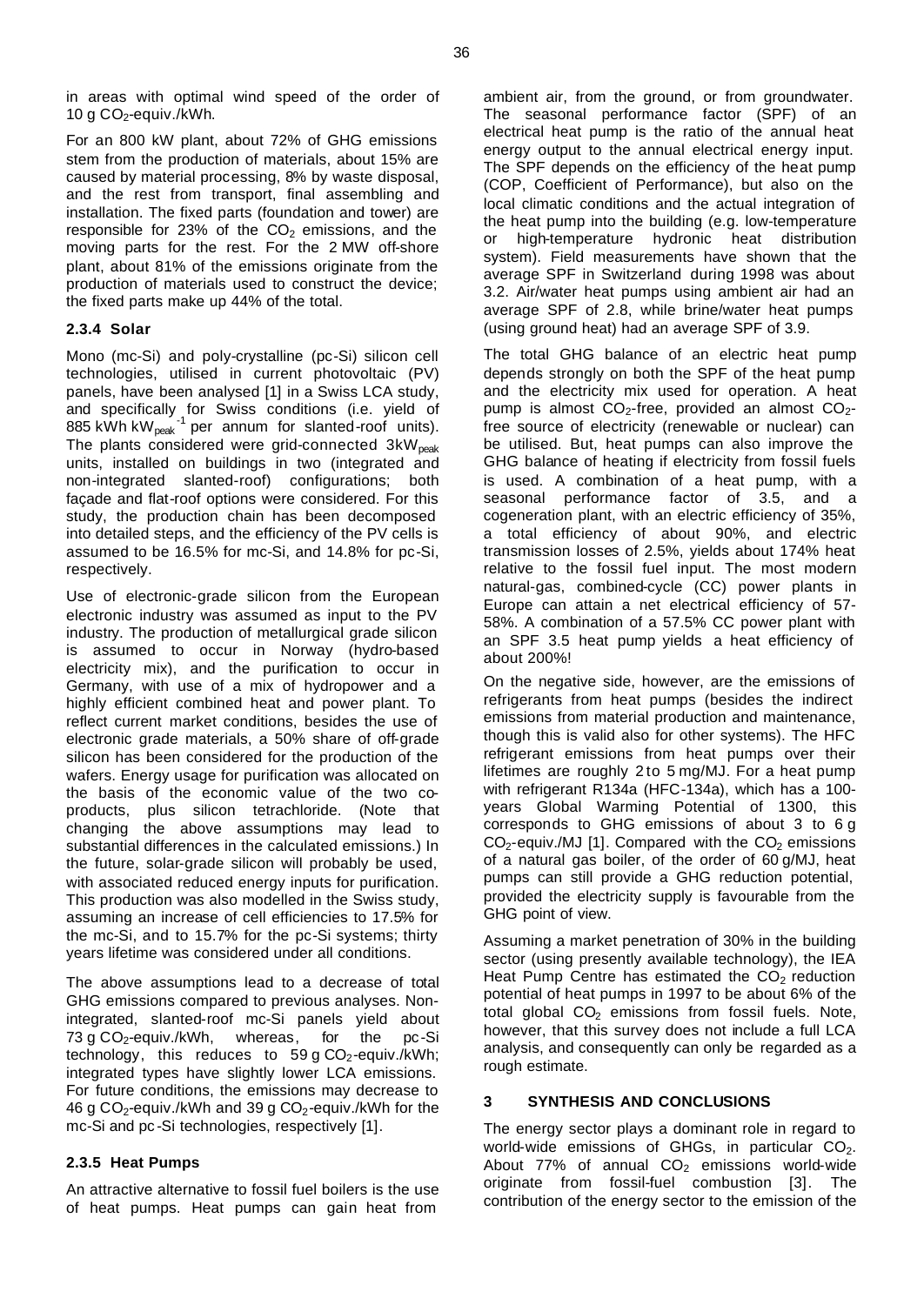in areas with optimal wind speed of the order of 10 g  $CO<sub>2</sub>$ -equiv./kWh.

For an 800 kW plant, about 72% of GHG emissions stem from the production of materials, about 15% are caused by material processing, 8% by waste disposal, and the rest from transport, final assembling and installation. The fixed parts (foundation and tower) are responsible for 23% of the  $CO<sub>2</sub>$  emissions, and the moving parts for the rest. For the 2 MW off-shore plant, about 81% of the emissions originate from the production of materials used to construct the device; the fixed parts make up 44% of the total.

# **2.3.4 Solar**

Mono (mc-Si) and poly-crystalline (pc-Si) silicon cell technologies, utilised in current photovoltaic (PV) panels, have been analysed [1] in a Swiss LCA study, and specifically for Swiss conditions (i.e. yield of 885 kWh kW<sub>peak</sub><sup>-1</sup> per annum for slanted-roof units). The plants considered were grid-connected  $3kW_{peak}$ units, installed on buildings in two (integrated and non-integrated slanted-roof) configurations; both façade and flat-roof options were considered. For this study, the production chain has been decomposed into detailed steps, and the efficiency of the PV cells is assumed to be 16.5% for mc-Si, and 14.8% for pc-Si, respectively.

Use of electronic-grade silicon from the European electronic industry was assumed as input to the PV industry. The production of metallurgical grade silicon is assumed to occur in Norway (hydro-based electricity mix), and the purification to occur in Germany, with use of a mix of hydropower and a highly efficient combined heat and power plant. To reflect current market conditions, besides the use of electronic grade materials, a 50% share of off-grade silicon has been considered for the production of the wafers. Energy usage for purification was allocated on the basis of the economic value of the two coproducts, plus silicon tetrachloride. (Note that changing the above assumptions may lead to substantial differences in the calculated emissions.) In the future, solar-grade silicon will probably be used, with associated reduced energy inputs for purification. This production was also modelled in the Swiss study, assuming an increase of cell efficiencies to 17.5% for the mc-Si, and to 15.7% for the pc-Si systems; thirty years lifetime was considered under all conditions.

The above assumptions lead to a decrease of total GHG emissions compared to previous analyses. Nonintegrated, slanted-roof mc-Si panels yield about<br>73 g CO<sub>2</sub>-equiv./kWh, whereas, for the pc-Si 73 g  $CO<sub>2</sub>$ -equiv./kWh, whereas, for the pc-Si technology, this reduces to 59 g  $CO<sub>2</sub>$ -equiv./kWh; integrated types have slightly lower LCA emissions. For future conditions, the emissions may decrease to 46 g  $CO<sub>2</sub>$ -equiv./kWh and 39 g  $CO<sub>2</sub>$ -equiv./kWh for the mc-Si and pc -Si technologies, respectively [1].

# **2.3.5 Heat Pumps**

An attractive alternative to fossil fuel boilers is the use of heat pumps. Heat pumps can gain heat from

ambient air, from the ground, or from groundwater. The seasonal performance factor (SPF) of an electrical heat pump is the ratio of the annual heat energy output to the annual electrical energy input. The SPF depends on the efficiency of the heat pump (COP, Coefficient of Performance), but also on the local climatic conditions and the actual integration of the heat pump into the building (e.g. low-temperature or high-temperature hydronic heat distribution system). Field measurements have shown that the average SPF in Switzerland during 1998 was about 3.2. Air/water heat pumps using ambient air had an average SPF of 2.8, while brine/water heat pumps (using ground heat) had an average SPF of 3.9.

The total GHG balance of an electric heat pump depends strongly on both the SPF of the heat pump and the electricity mix used for operation. A heat pump is almost  $CO_2$ -free, provided an almost  $CO_2$ free source of electricity (renewable or nuclear) can be utilised. But, heat pumps can also improve the GHG balance of heating if electricity from fossil fuels is used. A combination of a heat pump, with a seasonal performance factor of 3.5, and a cogeneration plant, with an electric efficiency of 35%, a total efficiency of about 90%, and electric transmission losses of 2.5%, yields about 174% heat relative to the fossil fuel input. The most modern natural-gas, combined-cycle (CC) power plants in Europe can attain a net electrical efficiency of 57- 58%. A combination of a 57.5% CC power plant with an SPF 3.5 heat pump yields a heat efficiency of about 200%!

On the negative side, however, are the emissions of refrigerants from heat pumps (besides the indirect emissions from material production and maintenance, though this is valid also for other systems). The HFC refrigerant emissions from heat pumps over their lifetimes are roughly 2 to 5 mg/MJ. For a heat pump with refrigerant R134a (HFC-134a), which has a 100 years Global Warming Potential of 1300, this corresponds to GHG emissions of about 3 to 6 g  $CO<sub>2</sub>$ -equiv./MJ [1]. Compared with the  $CO<sub>2</sub>$  emissions of a natural gas boiler, of the order of 60 g/MJ, heat pumps can still provide a GHG reduction potential, provided the electricity supply is favourable from the GHG point of view.

Assuming a market penetration of 30% in the building sector (using presently available technology), the IEA Heat Pump Centre has estimated the  $CO<sub>2</sub>$  reduction potential of heat pumps in 1997 to be about 6% of the total global  $CO<sub>2</sub>$  emissions from fossil fuels. Note, however, that this survey does not include a full LCA analysis, and consequently can only be regarded as a rough estimate.

# **3 SYNTHESIS AND CONCLUSIONS**

The energy sector plays a dominant role in regard to world-wide emissions of GHGs, in particular  $CO<sub>2</sub>$ . About 77% of annual  $CO<sub>2</sub>$  emissions world-wide originate from fossil-fuel combustion [3]. The contribution of the energy sector to the emission of the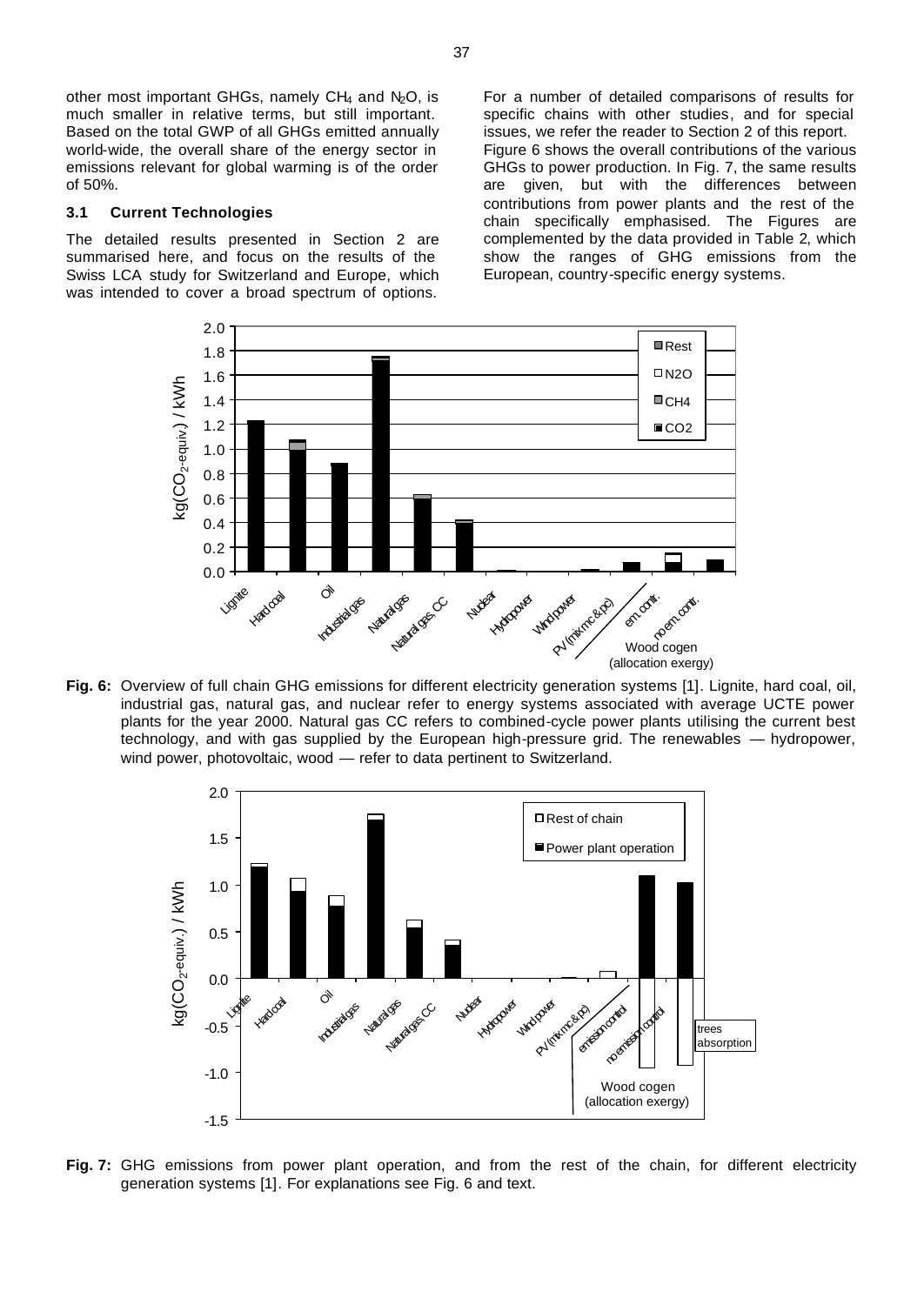other most important GHGs, namely  $CH_4$  and  $N_2O$ , is much smaller in relative terms, but still important. Based on the total GWP of all GHGs emitted annually world-wide, the overall share of the energy sector in emissions relevant for global warming is of the order of 50%.

### **3.1 Current Technologies**

The detailed results presented in Section 2 are summarised here, and focus on the results of the Swiss LCA study for Switzerland and Europe, which was intended to cover a broad spectrum of options.

For a number of detailed comparisons of results for specific chains with other studies, and for special issues, we refer the reader to Section 2 of this report. Figure 6 shows the overall contributions of the various GHGs to power production. In Fig. 7, the same results are given, but with the differences between contributions from power plants and the rest of the chain specifically emphasised. The Figures are complemented by the data provided in Table 2, which show the ranges of GHG emissions from the European, country-specific energy systems.



**Fig. 6:** Overview of full chain GHG emissions for different electricity generation systems [1]. Lignite, hard coal, oil, industrial gas, natural gas, and nuclear refer to energy systems associated with average UCTE power plants for the year 2000. Natural gas CC refers to combined-cycle power plants utilising the current best technology, and with gas supplied by the European high-pressure grid. The renewables — hydropower, wind power, photovoltaic, wood — refer to data pertinent to Switzerland.



**Fig. 7:** GHG emissions from power plant operation, and from the rest of the chain, for different electricity generation systems [1]. For explanations see Fig. 6 and text.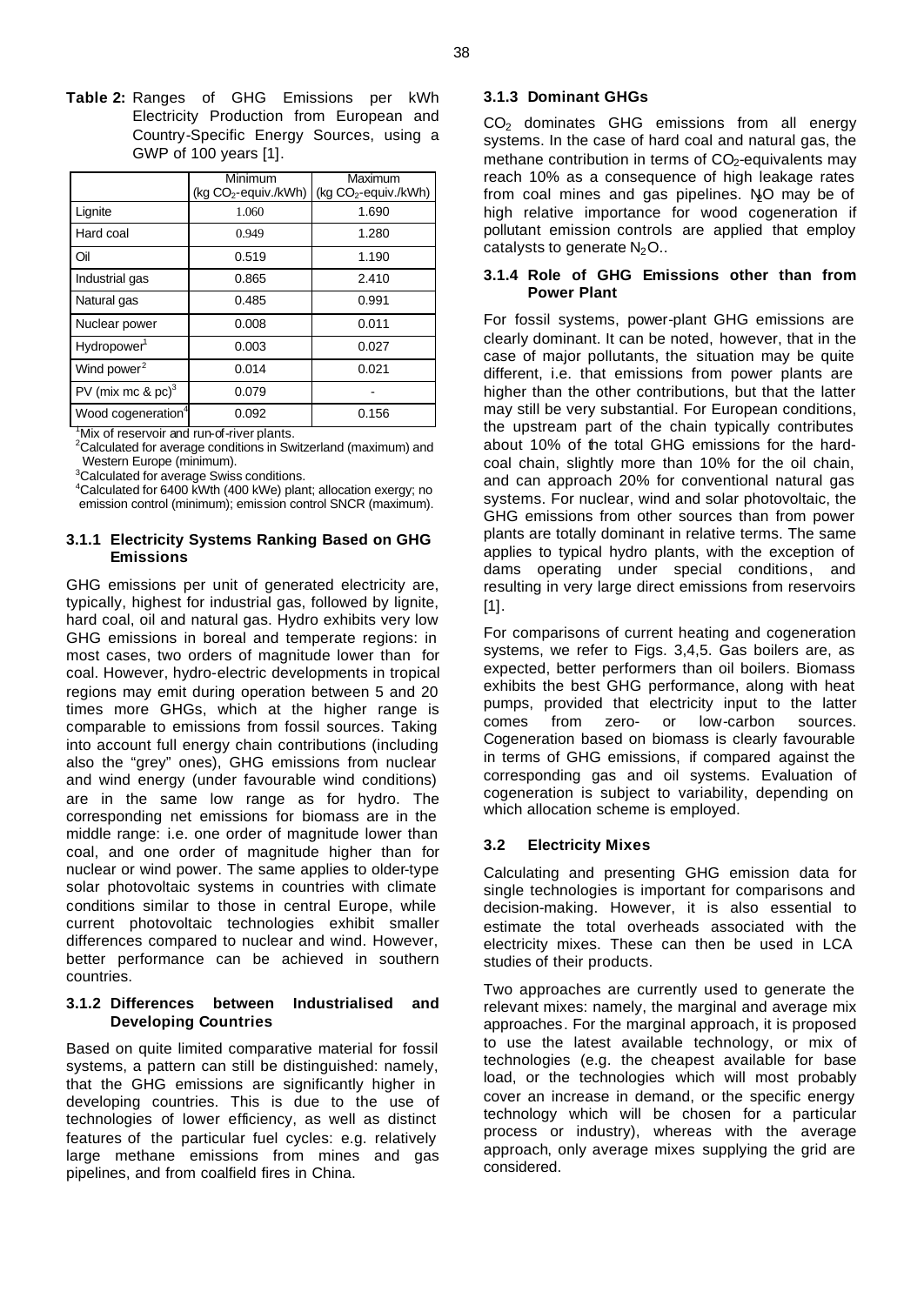**Table 2:** Ranges of GHG Emissions per kWh Electricity Production from European and Country-Specific Energy Sources, using a GWP of 100 years [1].

|                                  | Minimum<br>(kg CO <sub>2</sub> -equiv./kWh) | Maximum<br>$($ kg $CO2$ -equiv./kWh $)$ |
|----------------------------------|---------------------------------------------|-----------------------------------------|
| Lignite                          | 1.060                                       | 1.690                                   |
| Hard coal                        | 0.949                                       | 1.280                                   |
| Oil                              | 0.519                                       | 1.190                                   |
| Industrial gas                   | 0.865                                       | 2.410                                   |
| Natural gas                      | 0.485                                       | 0.991                                   |
| Nuclear power                    | 0.008                                       | 0.011                                   |
| Hydropower <sup>1</sup>          | 0.003                                       | 0.027                                   |
| Wind power <sup>2</sup>          | 0.014                                       | 0.021                                   |
| PV (mix mc $\&$ pc) <sup>3</sup> | 0.079                                       |                                         |
| Wood cogeneration <sup>4</sup>   | 0.092                                       | 0.156                                   |

<sup>1</sup>Mix of reservoir and run-of-river plants.

 $2$ Calculated for average conditions in Switzerland (maximum) and Western Europe (minimum).

<sup>3</sup>Calculated for average Swiss conditions.

<sup>4</sup>Calculated for 6400 kWth (400 kWe) plant; allocation exergy; no emission control (minimum); emission control SNCR (maximum).

# **3.1.1 Electricity Systems Ranking Based on GHG Emissions**

GHG emissions per unit of generated electricity are, typically, highest for industrial gas, followed by lignite, hard coal, oil and natural gas. Hydro exhibits very low GHG emissions in boreal and temperate regions: in most cases, two orders of magnitude lower than for coal. However, hydro-electric developments in tropical regions may emit during operation between 5 and 20 times more GHGs, which at the higher range is comparable to emissions from fossil sources. Taking into account full energy chain contributions (including also the "grey" ones), GHG emissions from nuclear and wind energy (under favourable wind conditions) are in the same low range as for hydro. The corresponding net emissions for biomass are in the middle range: i.e. one order of magnitude lower than coal, and one order of magnitude higher than for nuclear or wind power. The same applies to older-type solar photovoltaic systems in countries with climate conditions similar to those in central Europe, while current photovoltaic technologies exhibit smaller differences compared to nuclear and wind. However, better performance can be achieved in southern countries.

# **3.1.2 Differences between Industrialised and Developing Countries**

Based on quite limited comparative material for fossil systems, a pattern can still be distinguished: namely, that the GHG emissions are significantly higher in developing countries. This is due to the use of technologies of lower efficiency, as well as distinct features of the particular fuel cycles: e.g. relatively large methane emissions from mines and gas pipelines, and from coalfield fires in China.

### **3.1.3 Dominant GHGs**

CO<sub>2</sub> dominates GHG emissions from all energy systems. In the case of hard coal and natural gas, the methane contribution in terms of  $CO<sub>2</sub>$ -equivalents may reach 10% as a consequence of high leakage rates from coal mines and gas pipelines. No may be of high relative importance for wood cogeneration if pollutant emission controls are applied that employ catalysts to generate  $N_2O$ ..

### **3.1.4 Role of GHG Emissions other than from Power Plant**

For fossil systems, power-plant GHG emissions are clearly dominant. It can be noted, however, that in the case of major pollutants, the situation may be quite different, i.e. that emissions from power plants are higher than the other contributions, but that the latter may still be very substantial. For European conditions, the upstream part of the chain typically contributes about 10% of the total GHG emissions for the hardcoal chain, slightly more than 10% for the oil chain, and can approach 20% for conventional natural gas systems. For nuclear, wind and solar photovoltaic, the GHG emissions from other sources than from power plants are totally dominant in relative terms. The same applies to typical hydro plants, with the exception of dams operating under special conditions, and resulting in very large direct emissions from reservoirs [1].

For comparisons of current heating and cogeneration systems, we refer to Figs. 3,4,5. Gas boilers are, as expected, better performers than oil boilers. Biomass exhibits the best GHG performance, along with heat pumps, provided that electricity input to the latter comes from zero- or low-carbon sources. Cogeneration based on biomass is clearly favourable in terms of GHG emissions, if compared against the corresponding gas and oil systems. Evaluation of cogeneration is subject to variability, depending on which allocation scheme is employed.

# **3.2 Electricity Mixes**

Calculating and presenting GHG emission data for single technologies is important for comparisons and decision-making. However, it is also essential to estimate the total overheads associated with the electricity mixes. These can then be used in LCA studies of their products.

Two approaches are currently used to generate the relevant mixes: namely, the marginal and average mix approaches. For the marginal approach, it is proposed to use the latest available technology, or mix of technologies (e.g. the cheapest available for base load, or the technologies which will most probably cover an increase in demand, or the specific energy technology which will be chosen for a particular process or industry), whereas with the average approach, only average mixes supplying the grid are considered.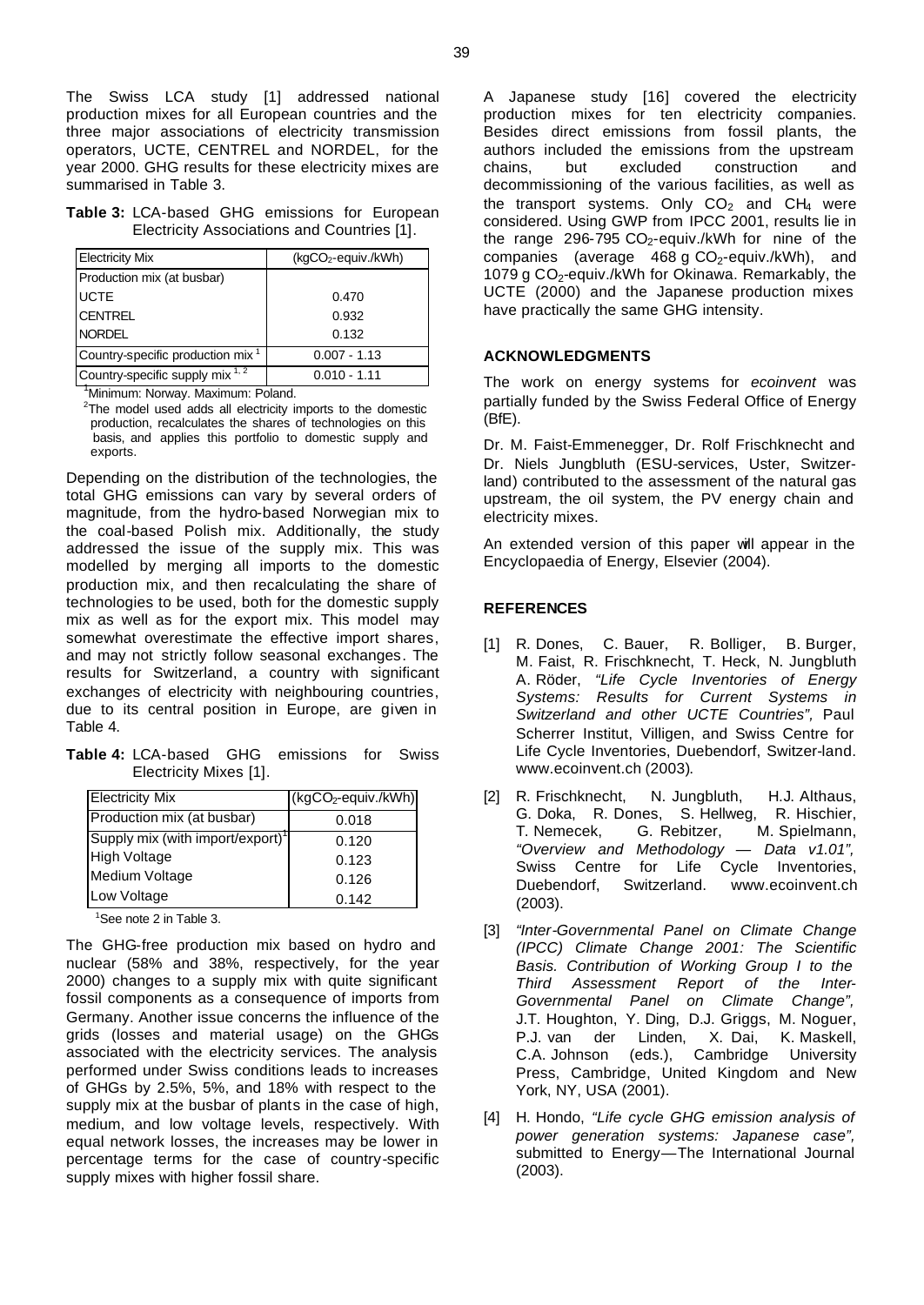The Swiss LCA study [1] addressed national production mixes for all European countries and the three major associations of electricity transmission operators, UCTE, CENTREL and NORDEL, for the year 2000. GHG results for these electricity mixes are summarised in Table 3.

| Table 3: LCA-based GHG emissions for European |  |  |
|-----------------------------------------------|--|--|
| Electricity Associations and Countries [1].   |  |  |

| <b>Electricity Mix</b>                       | $(kqCO2-equiv. /kWh)$ |  |  |
|----------------------------------------------|-----------------------|--|--|
| Production mix (at busbar)                   |                       |  |  |
| <b>UCTE</b>                                  | 0.470                 |  |  |
| <b>CENTREL</b>                               | 0.932                 |  |  |
| <b>NORDEL</b>                                | 0.132                 |  |  |
| Country-specific production mix <sup>1</sup> | $0.007 - 1.13$        |  |  |
| Country-specific supply mix 1, 2             | $0.010 - 1.11$        |  |  |

<sup>1</sup>Minimum: Norway. Maximum: Poland.

 $2$ The model used adds all electricity imports to the domestic production, recalculates the shares of technologies on this basis, and applies this portfolio to domestic supply and exports.

Depending on the distribution of the technologies, the total GHG emissions can vary by several orders of magnitude, from the hydro-based Norwegian mix to the coal-based Polish mix. Additionally, the study addressed the issue of the supply mix. This was modelled by merging all imports to the domestic production mix, and then recalculating the share of technologies to be used, both for the domestic supply mix as well as for the export mix. This model may somewhat overestimate the effective import shares, and may not strictly follow seasonal exchanges. The results for Switzerland, a country with significant exchanges of electricity with neighbouring countries. due to its central position in Europe, are given in Table 4.

**Table 4:** LCA-based GHG emissions for Swiss Electricity Mixes [1].

| <b>Electricity Mix</b>                       | (kgCO <sub>2</sub> -equiv./kWh) |
|----------------------------------------------|---------------------------------|
| Production mix (at busbar)                   | 0.018                           |
| Supply mix (with import/export) <sup>1</sup> | 0.120                           |
| <b>High Voltage</b>                          | 0.123                           |
| Medium Voltage                               | 0.126                           |
| Low Voltage                                  | 0.142                           |

<sup>1</sup>See note 2 in Table 3.

The GHG-free production mix based on hydro and nuclear (58% and 38%, respectively, for the year 2000) changes to a supply mix with quite significant fossil components as a consequence of imports from Germany. Another issue concerns the influence of the grids (losses and material usage) on the GHGs associated with the electricity services. The analysis performed under Swiss conditions leads to increases of GHGs by 2.5%, 5%, and 18% with respect to the supply mix at the busbar of plants in the case of high, medium, and low voltage levels, respectively. With equal network losses, the increases may be lower in percentage terms for the case of country-specific supply mixes with higher fossil share.

A Japanese study [16] covered the electricity production mixes for ten electricity companies. Besides direct emissions from fossil plants, the authors included the emissions from the upstream chains, but excluded construction and decommissioning of the various facilities, as well as the transport systems. Only  $CO<sub>2</sub>$  and  $CH<sub>4</sub>$  were considered. Using GWP from IPCC 2001, results lie in the range 296-795  $CO<sub>2</sub>$ -equiv./kWh for nine of the companies (average 468 g  $CO<sub>2</sub>$ -equiv./kWh), and 1079 g  $CO<sub>2</sub>$ -equiv./kWh for Okinawa. Remarkably, the UCTE (2000) and the Japanese production mixes have practically the same GHG intensity.

### **ACKNOWLEDGMENTS**

The work on energy systems for *ecoinvent* was partially funded by the Swiss Federal Office of Energy (BfE).

Dr. M. Faist-Emmenegger, Dr. Rolf Frischknecht and Dr. Niels Jungbluth (ESU-services, Uster, Switzerland) contributed to the assessment of the natural gas upstream, the oil system, the PV energy chain and electricity mixes.

An extended version of this paper will appear in the Encyclopaedia of Energy, Elsevier (2004).

### **REFERENCES**

- [1] R. Dones, C. Bauer, R. Bolliger, B. Burger, M. Faist, R. Frischknecht, T. Heck, N. Jungbluth A. Röder, *"Life Cycle Inventories of Energy Systems: Results for Current Systems in Switzerland and other UCTE Countries",* Paul Scherrer Institut, Villigen, and Swiss Centre for Life Cycle Inventories, Duebendorf, Switzer-land. www.ecoinvent.ch (2003).
- [2] R. Frischknecht, N. Jungbluth, H.J. Althaus, G. Doka, R. Dones, S. Hellweg, R. Hischier, T. Nemecek, G. Rebitzer, M. Spielmann, *"Overview and Methodology — Data v1.01",* Swiss Centre for Life Cycle Inventories, Duebendorf, Switzerland. www.ecoinvent.ch (2003).
- [3] *"Inter-Governmental Panel on Climate Change (IPCC) Climate Change 2001: The Scientific Basis. Contribution of Working Group I to the Third Assessment Report of the Inter-Governmental Panel on Climate Change",* J.T. Houghton, Y. Ding, D.J. Griggs, M. Noguer, P.J. van der Linden, C.A. Johnson (eds.), Cambridge University Press, Cambridge, United Kingdom and New York, NY, USA (2001).
- [4] H. Hondo, *"Life cycle GHG emission analysis of power generation systems: Japanese case",* submitted to Energy—The International Journal (2003).